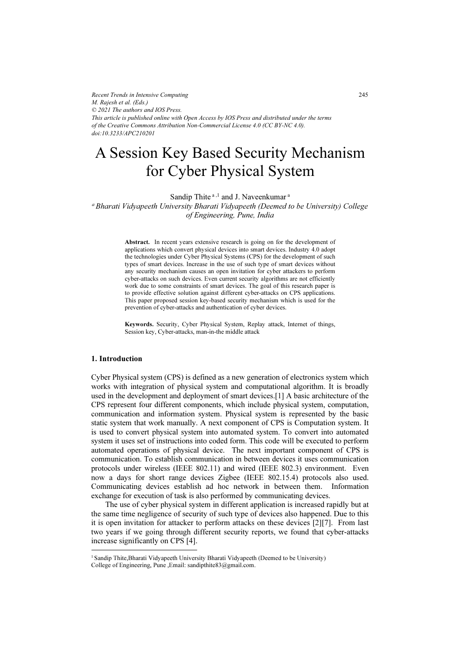*Recent Trends in Intensive Computing M. Rajesh et al. (Eds.) © 2021 The authors and IOS Press. This article is published online with Open Access by IOS Press and distributed under the terms of the Creative Commons Attribution Non-Commercial License 4.0 (CC BY-NC 4.0). doi:10.3233/APC210201*

# A Session Key Based Security Mechanism for Cyber Physical System

Sandip Thite<sup>a,1</sup> and J. Naveenkumar<sup>a</sup> <sup>a</sup>Bharati Vidyapeeth University Bharati Vidyapeeth (Deemed to be University) College of Engineering, Pune, India

> Abstract. In recent years extensive research is going on for the development of applications which convert physical devices into smart devices. Industry 4.0 adopt the technologies under Cyber Physical Systems (CPS) for the development of such types of smart devices. Increase in the use of such type of smart devices without any security mechanism causes an open invitation for cyber attackers to perform cyber-attacks on such devices. Even current security algorithms are not efficiently work due to some constraints of smart devices. The goal of this research paper is to provide effective solution against different cyber-attacks on CPS applications. This paper proposed session key-based security mechanism which is used for the prevention of cyber-attacks and authentication of cyber devices.

> Keywords. Security, Cyber Physical System, Replay attack, Internet of things, Session key, Cyber-attacks, man-in-the middle attack

#### 1. Introduction

Cyber Physical system (CPS) is defined as a new generation of electronics system which works with integration of physical system and computational algorithm. It is broadly used in the development and deployment of smart devices.[1] A basic architecture of the CPS represent four different components, which include physical system, computation, communication and information system. Physical system is represented by the basic static system that work manually. A next component of CPS is Computation system. It is used to convert physical system into automated system. To convert into automated system it uses set of instructions into coded form. This code will be executed to perform automated operations of physical device. The next important component of CPS is communication. To establish communication in between devices it uses communication protocols under wireless (IEEE 802.11) and wired (IEEE 802.3) environment. Even now a days for short range devices Zigbee (IEEE 802.15.4) protocols also used. Communicating devices establish ad hoc network in between them. Information exchange for execution of task is also performed by communicating devices.

The use of cyber physical system in different application is increased rapidly but at the same time negligence of security of such type of devices also happened. Due to this it is open invitation for attacker to perform attacks on these devices [2][7]. From last two years if we going through different security reports, we found that cyber-attacks increase significantly on CPS [4].

<sup>&</sup>lt;sup>1</sup> Sandip Thite, Bharati Vidyapeeth University Bharati Vidyapeeth (Deemed to be University) College of Engineering, Pune ,Email: sandipthite83@gmail.com.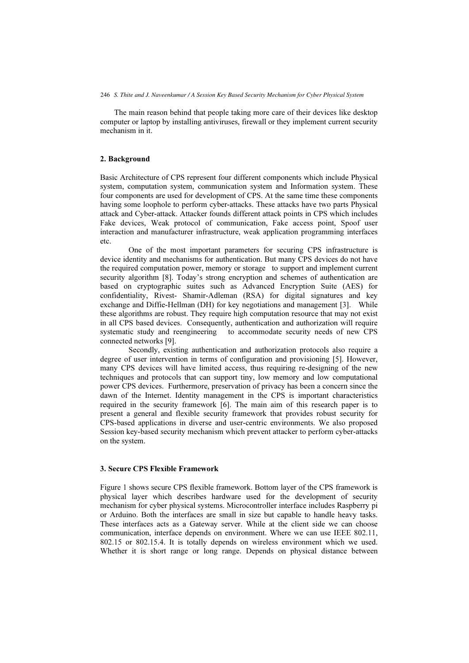The main reason behind that people taking more care of their devices like desktop computer or laptop by installing antiviruses, firewall or they implement current security mechanism in it.

## 2. Background

Basic Architecture of CPS represent four different components which include Physical system, computation system, communication system and Information system. These four components are used for development of CPS. At the same time these components having some loophole to perform cyber-attacks. These attacks have two parts Physical attack and Cyber-attack. Attacker founds different attack points in CPS which includes Fake devices, Weak protocol of communication, Fake access point, Spoof user interaction and manufacturer infrastructure, weak application programming interfaces etc.

One of the most important parameters for securing CPS infrastructure is device identity and mechanisms for authentication. But many CPS devices do not have the required computation power, memory or storage to support and implement current security algorithm [8]. Today's strong encryption and schemes of authentication are based on cryptographic suites such as Advanced Encryption Suite (AES) for confidentiality, Rivest- Shamir-Adleman (RSA) for digital signatures and key exchange and Diffie-Hellman (DH) for key negotiations and management [3]. While these algorithms are robust. They require high computation resource that may not exist in all CPS based devices. Consequently, authentication and authorization will require systematic study and reengineering to accommodate security needs of new CPS connected networks [9].

Secondly, existing authentication and authorization protocols also require a degree of user intervention in terms of configuration and provisioning [5]. However, many CPS devices will have limited access, thus requiring re-designing of the new techniques and protocols that can support tiny, low memory and low computational power CPS devices. Furthermore, preservation of privacy has been a concern since the dawn of the Internet. Identity management in the CPS is important characteristics required in the security framework [6]. The main aim of this research paper is to present a general and flexible security framework that provides robust security for CPS-based applications in diverse and user-centric environments. We also proposed Session key-based security mechanism which prevent attacker to perform cyber-attacks on the system.

## 3. Secure CPS Flexible Framework

Figure 1 shows secure CPS flexible framework. Bottom layer of the CPS framework is physical layer which describes hardware used for the development of security mechanism for cyber physical systems. Microcontroller interface includes Raspberry pi or Arduino. Both the interfaces are small in size but capable to handle heavy tasks. These interfaces acts as a Gateway server. While at the client side we can choose communication, interface depends on environment. Where we can use IEEE 802.11, 802.15 or 802.15.4. It is totally depends on wireless environment which we used. Whether it is short range or long range. Depends on physical distance between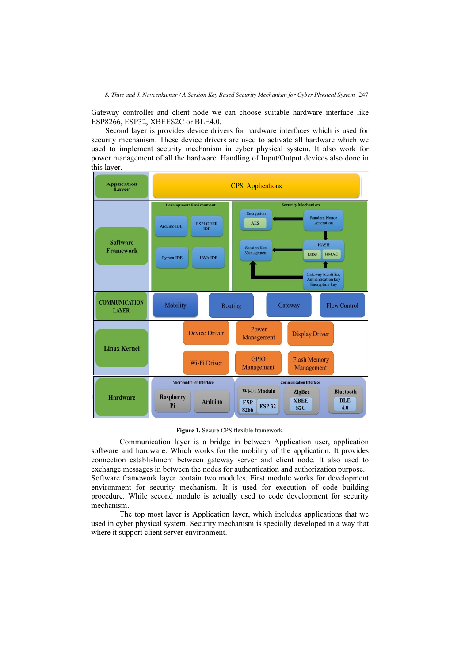Gateway controller and client node we can choose suitable hardware interface like ESP8266, ESP32, XBEES2C or BLE4.0.

Second layer is provides device drivers for hardware interfaces which is used for security mechanism. These device drivers are used to activate all hardware which we used to implement security mechanism in cyber physical system. It also work for power management of all the hardware. Handling of Input/Output devices also done in this layer.



Figure 1. Secure CPS flexible framework.

Communication layer is a bridge in between Application user, application software and hardware. Which works for the mobility of the application. It provides connection establishment between gateway server and client node. It also used to exchange messages in between the nodes for authentication and authorization purpose. Software framework layer contain two modules. First module works for development

environment for security mechanism. It is used for execution of code building procedure. While second module is actually used to code development for security mechanism.

The top most layer is Application layer, which includes applications that we used in cyber physical system. Security mechanism is specially developed in a way that where it support client server environment.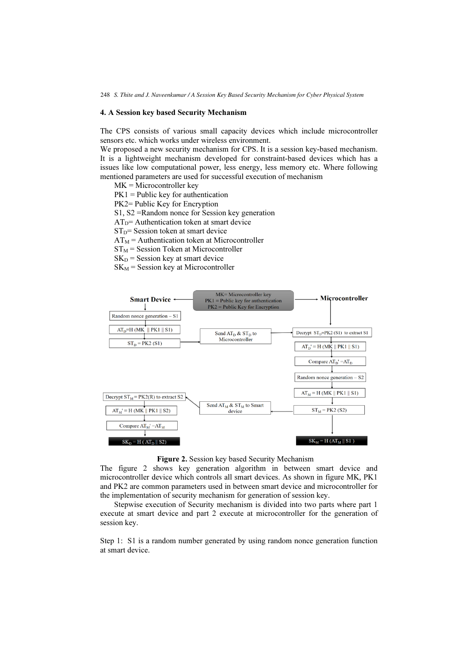# 4. A Session key based Security Mechanism

The CPS consists of various small capacity devices which include microcontroller sensors etc. which works under wireless environment.

We proposed a new security mechanism for CPS. It is a session key-based mechanism. It is a lightweight mechanism developed for constraint-based devices which has a issues like low computational power, less energy, less memory etc. Where following mentioned parameters are used for successful execution of mechanism

MK = Microcontroller key  $PK1 =$  Public key for authentication PK2= Public Key for Encryption S1, S2 =Random nonce for Session key generation  $AT<sub>D</sub>=$  Authentication token at smart device  $ST<sub>D</sub>=$  Session token at smart device  $AT_M$  = Authentication token at Microcontroller  $ST_M$  = Session Token at Microcontroller  $SK<sub>D</sub>$  = Session key at smart device  $SK<sub>M</sub>$  = Session key at Microcontroller



#### Figure 2. Session key based Security Mechanism

The figure 2 shows key generation algorithm in between smart device and microcontroller device which controls all smart devices. As shown in figure MK, PK1 and PK2 are common parameters used in between smart device and microcontroller for the implementation of security mechanism for generation of session key.

Stepwise execution of Security mechanism is divided into two parts where part 1 execute at smart device and part 2 execute at microcontroller for the generation of session key.

Step 1: S1 is a random number generated by using random nonce generation function at smart device.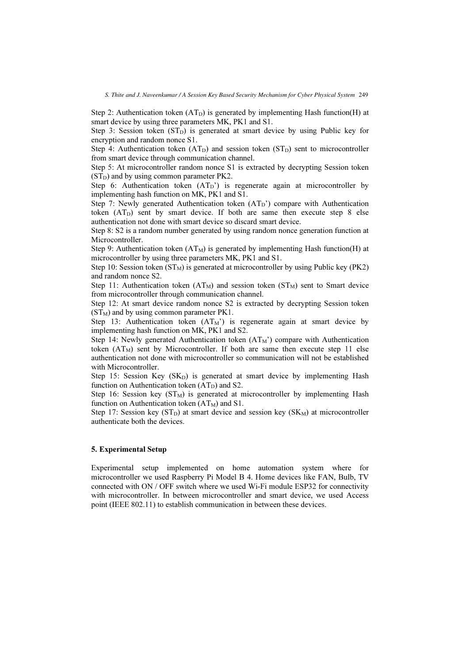Step 2: Authentication token  $(AT_D)$  is generated by implementing Hash function(H) at smart device by using three parameters MK, PK1 and S1.

Step 3: Session token  $(ST<sub>D</sub>$ ) is generated at smart device by using Public key for encryption and random nonce S1.

Step 4: Authentication token  $(AT_D)$  and session token  $(ST_D)$  sent to microcontroller from smart device through communication channel.

Step 5: At microcontroller random nonce S1 is extracted by decrypting Session token  $(ST<sub>D</sub>$ ) and by using common parameter PK2.

Step 6: Authentication token  $(AT_D')$  is regenerate again at microcontroller by implementing hash function on MK, PK1 and S1.

Step 7: Newly generated Authentication token  $(AT_D)$  compare with Authentication token  $(AT_D)$  sent by smart device. If both are same then execute step 8 else authentication not done with smart device so discard smart device.

Step 8: S2 is a random number generated by using random nonce generation function at Microcontroller.

Step 9: Authentication token  $(AT_M)$  is generated by implementing Hash function(H) at microcontroller by using three parameters MK, PK1 and S1.

Step 10: Session token  $(ST_M)$  is generated at microcontroller by using Public key (PK2) and random nonce S2.

Step 11: Authentication token  $(AT_M)$  and session token  $(ST_M)$  sent to Smart device from microcontroller through communication channel.

Step 12: At smart device random nonce S2 is extracted by decrypting Session token  $(ST_M)$  and by using common parameter PK1.

Step 13: Authentication token  $(AT_M')$  is regenerate again at smart device by implementing hash function on MK, PK1 and S2.

Step 14: Newly generated Authentication token  $(AT_M')$  compare with Authentication token  $(AT_M)$  sent by Microcontroller. If both are same then execute step 11 else authentication not done with microcontroller so communication will not be established with Microcontroller.

Step 15: Session Key  $(SK_D)$  is generated at smart device by implementing Hash function on Authentication token  $(AT<sub>D</sub>)$  and S2.

Step 16: Session key  $(ST_M)$  is generated at microcontroller by implementing Hash function on Authentication token  $(AT_M)$  and S1.

Step 17: Session key  $(ST_D)$  at smart device and session key  $(SK_M)$  at microcontroller authenticate both the devices.

#### 5. Experimental Setup

Experimental setup implemented on home automation system where for microcontroller we used Raspberry Pi Model B 4. Home devices like FAN, Bulb, TV connected with ON / OFF switch where we used Wi-Fi module ESP32 for connectivity with microcontroller. In between microcontroller and smart device, we used Access point (IEEE 802.11) to establish communication in between these devices.